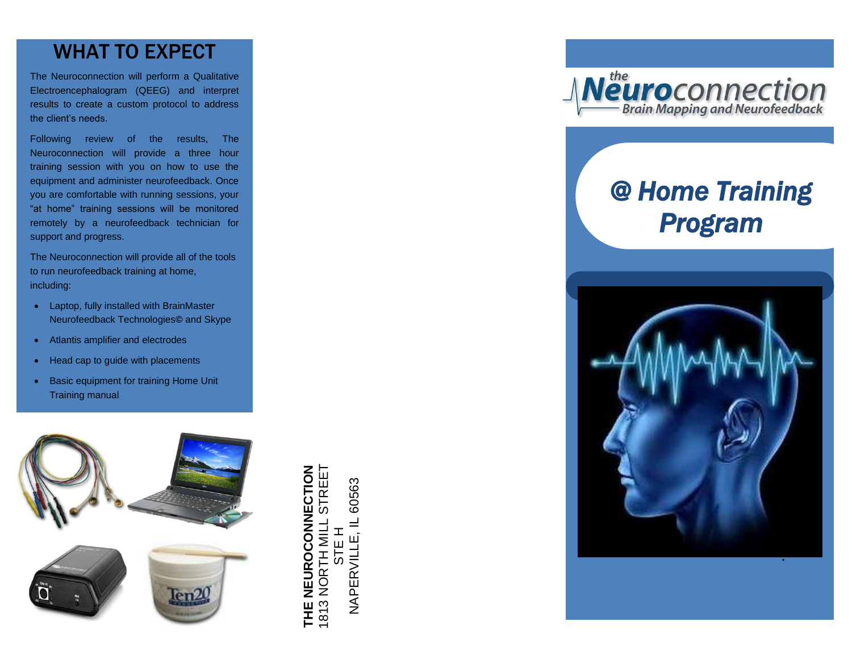## WHAT TO EXPECT

The Neuroconnection will perform a Qualitative Electroencephalogram (QEEG) and interpret results to create a custom protocol to address the client's needs .

Following review of the results, The Neuroconnection will provide a three hour training session with you on how to use the equipment and administer neurofeedback. Once you are comfortable with running sessions, your "at home" training sessions will be monitored remotely by a neurofeedback technician for support and progress.

The Neuroconnection will provide all of the tools to run neurofeedback training at home, including:

- Laptop, fully installed with BrainMaster Neurofeedback Technologies **©** and Skype
- Atlantis amplifier and electrodes
- Head cap to guide with placements
- Basic equipment for training Home Unit Training manual



THE NEUROCONNECTION<br>1813 NORTH MILL STREET<br>STE H<br>NAPERVILLE, IL 60563



# *@ Home Training Program*